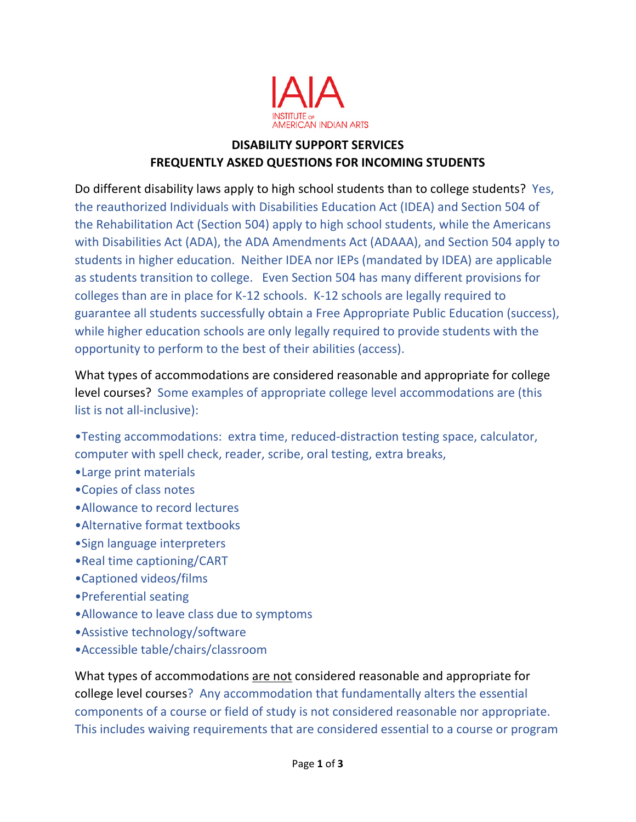

## **DISABILITY SUPPORT SERVICES FREQUENTLY ASKED QUESTIONS FOR INCOMING STUDENTS**

Do different disability laws apply to high school students than to college students? Yes, the reauthorized Individuals with Disabilities Education Act (IDEA) and Section 504 of the Rehabilitation Act (Section 504) apply to high school students, while the Americans with Disabilities Act (ADA), the ADA Amendments Act (ADAAA), and Section 504 apply to students in higher education. Neither IDEA nor IEPs (mandated by IDEA) are applicable as students transition to college. Even Section 504 has many different provisions for colleges than are in place for K-12 schools. K-12 schools are legally required to guarantee all students successfully obtain a Free Appropriate Public Education (success), while higher education schools are only legally required to provide students with the opportunity to perform to the best of their abilities (access).

What types of accommodations are considered reasonable and appropriate for college level courses? Some examples of appropriate college level accommodations are (this list is not all-inclusive):

- •Testing accommodations: extra time, reduced-distraction testing space, calculator, computer with spell check, reader, scribe, oral testing, extra breaks,
- •Large print materials
- •Copies of class notes
- •Allowance to record lectures
- •Alternative format textbooks
- •Sign language interpreters
- •Real time captioning/CART
- •Captioned videos/films
- •Preferential seating
- •Allowance to leave class due to symptoms
- •Assistive technology/software
- •Accessible table/chairs/classroom

What types of accommodations are not considered reasonable and appropriate for college level courses? Any accommodation that fundamentally alters the essential components of a course or field of study is not considered reasonable nor appropriate. This includes waiving requirements that are considered essential to a course or program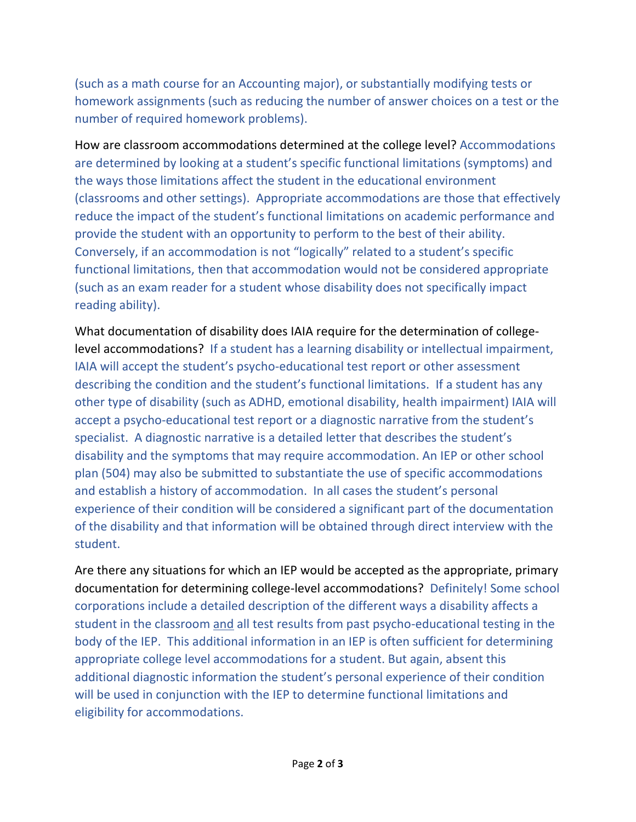(such as a math course for an Accounting major), or substantially modifying tests or homework assignments (such as reducing the number of answer choices on a test or the number of required homework problems).

How are classroom accommodations determined at the college level? Accommodations are determined by looking at a student's specific functional limitations (symptoms) and the ways those limitations affect the student in the educational environment (classrooms and other settings). Appropriate accommodations are those that effectively reduce the impact of the student's functional limitations on academic performance and provide the student with an opportunity to perform to the best of their ability. Conversely, if an accommodation is not "logically" related to a student's specific functional limitations, then that accommodation would not be considered appropriate (such as an exam reader for a student whose disability does not specifically impact reading ability).

What documentation of disability does IAIA require for the determination of collegelevel accommodations? If a student has a learning disability or intellectual impairment, IAIA will accept the student's psycho-educational test report or other assessment describing the condition and the student's functional limitations. If a student has any other type of disability (such as ADHD, emotional disability, health impairment) IAIA will accept a psycho-educational test report or a diagnostic narrative from the student's specialist. A diagnostic narrative is a detailed letter that describes the student's disability and the symptoms that may require accommodation. An IEP or other school plan (504) may also be submitted to substantiate the use of specific accommodations and establish a history of accommodation. In all cases the student's personal experience of their condition will be considered a significant part of the documentation of the disability and that information will be obtained through direct interview with the student.

Are there any situations for which an IEP would be accepted as the appropriate, primary documentation for determining college-level accommodations? Definitely! Some school corporations include a detailed description of the different ways a disability affects a student in the classroom and all test results from past psycho-educational testing in the body of the IEP. This additional information in an IEP is often sufficient for determining appropriate college level accommodations for a student. But again, absent this additional diagnostic information the student's personal experience of their condition will be used in conjunction with the IEP to determine functional limitations and eligibility for accommodations.